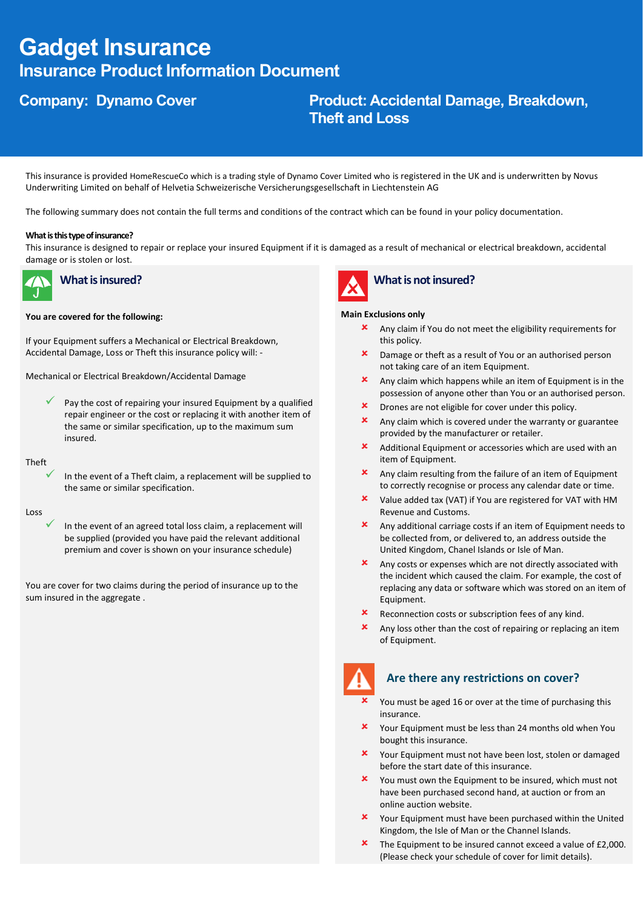# **Gadget Insurance Insurance Product Information Document**

# **Company: Dynamo Cover Product: Accidental Damage, Breakdown, Theft and Loss**

This insurance is provided HomeRescueCo which is a trading style of Dynamo Cover Limited who is registered in the UK and is underwritten by Novus Underwriting Limited on behalf of Helvetia Schweizerische Versicherungsgesellschaft in Liechtenstein AG

The following summary does not contain the full terms and conditions of the contract which can be found in your policy documentation.

### **What is this type of insurance?**

This insurance is designed to repair or replace your insured Equipment if it is damaged as a result of mechanical or electrical breakdown, accidental damage or is stolen or lost.



# **What is insured?**

### **You are covered for the following:**

If your Equipment suffers a Mechanical or Electrical Breakdown, Accidental Damage, Loss or Theft this insurance policy will: -

Mechanical or Electrical Breakdown/Accidental Damage

 $\checkmark$  Pay the cost of repairing your insured Equipment by a qualified repair engineer or the cost or replacing it with another item of the same or similar specification, up to the maximum sum insured.

Theft

In the event of a Theft claim, a replacement will be supplied to the same or similar specification.

Loss

In the event of an agreed total loss claim, a replacement will be supplied (provided you have paid the relevant additional premium and cover is shown on your insurance schedule)

You are cover for two claims during the period of insurance up to the sum insured in the aggregate .



# **What is not insured?**

### **Main Exclusions only**

- Any claim if You do not meet the eligibility requirements for this policy.
- **x** Damage or theft as a result of You or an authorised person not taking care of an item Equipment.
- Any claim which happens while an item of Equipment is in the possession of anyone other than You or an authorised person.
- Drones are not eligible for cover under this policy.
- $\mathbf{\times}$  Any claim which is covered under the warranty or guarantee provided by the manufacturer or retailer.
- Additional Equipment or accessories which are used with an item of Equipment.
- $\star$  Any claim resulting from the failure of an item of Equipment to correctly recognise or process any calendar date or time.
- Value added tax (VAT) if You are registered for VAT with HM Revenue and Customs.
- Any additional carriage costs if an item of Equipment needs to be collected from, or delivered to, an address outside the United Kingdom, Chanel Islands or Isle of Man.
- Any costs or expenses which are not directly associated with the incident which caused the claim. For example, the cost of replacing any data or software which was stored on an item of Equipment.
- **x** Reconnection costs or subscription fees of any kind.
- Any loss other than the cost of repairing or replacing an item of Equipment.



### **Are there any restrictions on cover?**

- You must be aged 16 or over at the time of purchasing this insurance.
- Your Equipment must be less than 24 months old when You bought this insurance.
- Your Equipment must not have been lost, stolen or damaged before the start date of this insurance.
- You must own the Equipment to be insured, which must not have been purchased second hand, at auction or from an online auction website.
- Your Equipment must have been purchased within the United Kingdom, the Isle of Man or the Channel Islands.
- **\*** The Equipment to be insured cannot exceed a value of £2,000. (Please check your schedule of cover for limit details).